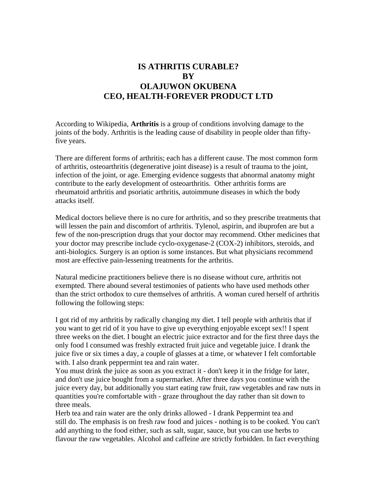## **IS ATHRITIS CURABLE? BY OLAJUWON OKUBENA CEO, HEALTH-FOREVER PRODUCT LTD**

According to Wikipedia, **Arthritis** is a group of conditions involving damage to the [joints](http://en.wikipedia.org/wiki/Joint) of the body. Arthritis is the leading cause of disability in people older than fiftyfive years.

There are different forms of arthritis; each has a different cause. The most common form of arthritis, [osteoarthritis](http://en.wikipedia.org/wiki/Osteoarthritis) (degenerative joint disease) is a result of trauma to the joint, infection of the joint, or age. Emerging evidence suggests that abnormal anatomy might contribute to the early development of osteoarthritis. Other arthritis forms are [rheumatoid arthritis](http://en.wikipedia.org/wiki/Rheumatoid_arthritis) and [psoriatic arthritis,](http://en.wikipedia.org/wiki/Psoriatic_arthritis) [autoimmune diseases](http://en.wikipedia.org/wiki/Autoimmune_disorder) in which the body attacks itself.

Medical doctors believe there is no cure for arthritis, and so they prescribe treatments that will lessen the pain and discomfort of arthritis. Tylenol, aspirin, and ibuprofen are but a few of the non-prescription drugs that your doctor may recommend. Other medicines that your doctor may prescribe include cyclo-oxygenase-2 (COX-2) inhibitors, steroids, and anti-biologics. Surgery is an option is some instances. But what physicians recommend most are effective pain-lessening treatments for the arthritis.

Natural medicine practitioners believe there is no disease without cure, arthritis not exempted. There abound several testimonies of patients who have used methods other than the strict orthodox to cure themselves of arthritis. A woman cured herself of arthritis following the following steps:

I got rid of my arthritis by radically changing my diet. I tell people with arthritis that if you want to get rid of it you have to give up everything enjoyable except sex!! I spent three weeks on the diet. I bought an electric juice extractor and for the first three days the only food I consumed was freshly extracted fruit juice and vegetable juice. I drank the juice five or six times a day, a couple of glasses at a time, or whatever I felt comfortable with. I also drank peppermint tea and rain water.

You must drink the juice as soon as you extract it - don't keep it in the fridge for later, and don't use juice bought from a supermarket. After three days you continue with the juice every day, but additionally you start eating raw fruit, raw vegetables and raw nuts in quantities you're comfortable with - graze throughout the day rather than sit down to three meals.

Herb tea and rain water are the only drinks allowed - I drank Peppermint tea and still do. The emphasis is on fresh raw food and juices - nothing is to be cooked. You can't add anything to the food either, such as salt, sugar, sauce, but you can use herbs to flavour the raw vegetables. Alcohol and caffeine are strictly forbidden. In fact everything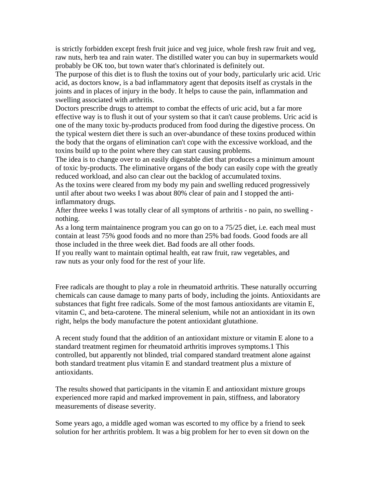is strictly forbidden except fresh fruit juice and veg juice, whole fresh raw fruit and veg, raw nuts, herb tea and rain water. The distilled water you can buy in supermarkets would probably be OK too, but town water that's chlorinated is definitely out.

The purpose of this diet is to flush the toxins out of your body, particularly uric acid. Uric acid, as doctors know, is a bad inflammatory agent that deposits itself as crystals in the joints and in places of injury in the body. It helps to cause the pain, inflammation and swelling associated with arthritis.

Doctors prescribe drugs to attempt to combat the effects of uric acid, but a far more effective way is to flush it out of your system so that it can't cause problems. Uric acid is one of the many toxic by-products produced from food during the digestive process. On the typical western diet there is such an over-abundance of these toxins produced within the body that the organs of elimination can't cope with the excessive workload, and the toxins build up to the point where they can start causing problems.

The idea is to change over to an easily digestable diet that produces a minimum amount of toxic by-products. The eliminative organs of the body can easily cope with the greatly reduced workload, and also can clear out the backlog of accumulated toxins.

As the toxins were cleared from my body my pain and swelling reduced progressively until after about two weeks I was about 80% clear of pain and I stopped the antiinflammatory drugs.

After three weeks I was totally clear of all symptons of arthritis - no pain, no swelling nothing.

As a long term maintainence program you can go on to a 75/25 diet, i.e. each meal must contain at least 75% good foods and no more than 25% bad foods. Good foods are all those included in the three week diet. Bad foods are all other foods.

If you really want to maintain optimal health, eat raw fruit, raw vegetables, and raw nuts as your only food for the rest of your life.

Free radicals are thought to play a role in rheumatoid arthritis. These naturally occurring chemicals can cause damage to many parts of body, including the joints. Antioxidants are substances that fight free radicals. Some of the most famous antioxidants are vitamin E, vitamin C, and beta-carotene. The mineral selenium, while not an antioxidant in its own right, helps the body manufacture the potent antioxidant glutathione.

A recent study found that the addition of an antioxidant mixture or vitamin E alone to a standard treatment regimen for rheumatoid arthritis improves symptoms.1 This controlled, but apparently not blinded, trial compared standard treatment alone against both standard treatment plus vitamin E and standard treatment plus a mixture of antioxidants.

The results showed that participants in the vitamin E and antioxidant mixture groups experienced more rapid and marked improvement in pain, stiffness, and laboratory measurements of disease severity.

Some years ago, a middle aged woman was escorted to my office by a friend to seek solution for her arthritis problem. It was a big problem for her to even sit down on the